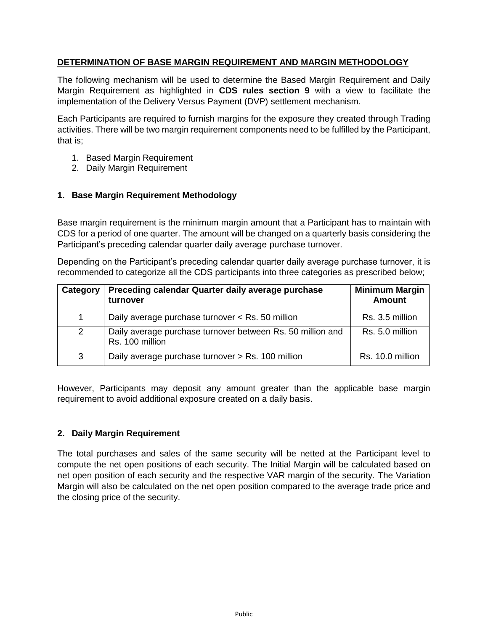# **DETERMINATION OF BASE MARGIN REQUIREMENT AND MARGIN METHODOLOGY**

The following mechanism will be used to determine the Based Margin Requirement and Daily Margin Requirement as highlighted in **CDS rules section 9** with a view to facilitate the implementation of the Delivery Versus Payment (DVP) settlement mechanism.

Each Participants are required to furnish margins for the exposure they created through Trading activities. There will be two margin requirement components need to be fulfilled by the Participant, that is;

- 1. Based Margin Requirement
- 2. Daily Margin Requirement

### **1. Base Margin Requirement Methodology**

Base margin requirement is the minimum margin amount that a Participant has to maintain with CDS for a period of one quarter. The amount will be changed on a quarterly basis considering the Participant's preceding calendar quarter daily average purchase turnover.

Depending on the Participant's preceding calendar quarter daily average purchase turnover, it is recommended to categorize all the CDS participants into three categories as prescribed below;

| Category | Preceding calendar Quarter daily average purchase<br>turnover                 | <b>Minimum Margin</b><br><b>Amount</b> |
|----------|-------------------------------------------------------------------------------|----------------------------------------|
|          | Daily average purchase turnover < Rs. 50 million                              | Rs. 3.5 million                        |
| 2        | Daily average purchase turnover between Rs. 50 million and<br>Rs. 100 million | Rs. 5.0 million                        |
| 3        | Daily average purchase turnover > Rs. 100 million                             | Rs. 10.0 million                       |

However, Participants may deposit any amount greater than the applicable base margin requirement to avoid additional exposure created on a daily basis.

## **2. Daily Margin Requirement**

The total purchases and sales of the same security will be netted at the Participant level to compute the net open positions of each security. The Initial Margin will be calculated based on net open position of each security and the respective VAR margin of the security. The Variation Margin will also be calculated on the net open position compared to the average trade price and the closing price of the security.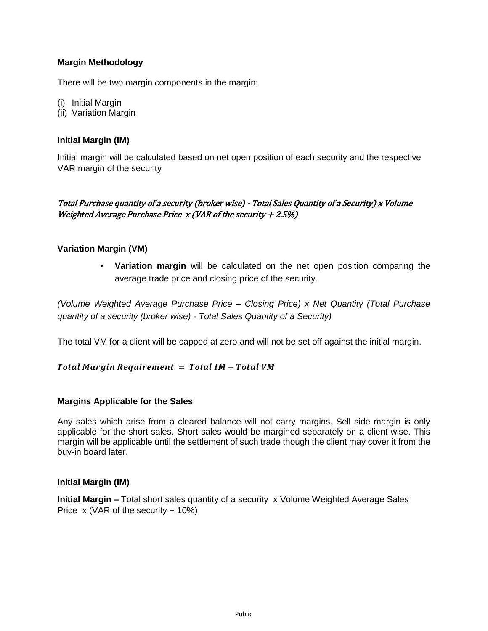# **Margin Methodology**

There will be two margin components in the margin;

- (i) Initial Margin
- (ii) Variation Margin

### **Initial Margin (IM)**

Initial margin will be calculated based on net open position of each security and the respective VAR margin of the security

# Total Purchase quantity of a security (broker wise) - Total Sales Quantity of a Security) x Volume Weighted Average Purchase Price  $x$  (VAR of the security  $+2.5\%)$

## **Variation Margin (VM)**

• **Variation margin** will be calculated on the net open position comparing the average trade price and closing price of the security.

*(Volume Weighted Average Purchase Price – Closing Price) x Net Quantity (Total Purchase quantity of a security (broker wise) - Total Sales Quantity of a Security)* 

The total VM for a client will be capped at zero and will not be set off against the initial margin.

#### Total Margin Requirement =  $Total IM + Total VM$

#### **Margins Applicable for the Sales**

Any sales which arise from a cleared balance will not carry margins. Sell side margin is only applicable for the short sales. Short sales would be margined separately on a client wise. This margin will be applicable until the settlement of such trade though the client may cover it from the buy-in board later.

#### **Initial Margin (IM)**

**Initial Margin –** Total short sales quantity of a security x Volume Weighted Average Sales Price  $x$  (VAR of the security + 10%)